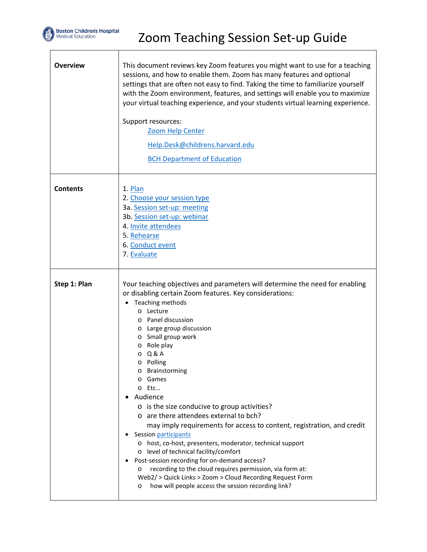

Τ

Г

<span id="page-0-0"></span>

| <b>Overview</b> | This document reviews key Zoom features you might want to use for a teaching<br>sessions, and how to enable them. Zoom has many features and optional<br>settings that are often not easy to find. Taking the time to familiarize yourself<br>with the Zoom environment, features, and settings will enable you to maximize<br>your virtual teaching experience, and your students virtual learning experience.<br>Support resources:<br>Zoom Help Center<br>Help.Desk@childrens.harvard.edu<br><b>BCH Department of Education</b>                                                                                                                                                                                                                                                                                                                                                                                        |
|-----------------|---------------------------------------------------------------------------------------------------------------------------------------------------------------------------------------------------------------------------------------------------------------------------------------------------------------------------------------------------------------------------------------------------------------------------------------------------------------------------------------------------------------------------------------------------------------------------------------------------------------------------------------------------------------------------------------------------------------------------------------------------------------------------------------------------------------------------------------------------------------------------------------------------------------------------|
| <b>Contents</b> | 1. Plan<br>2. Choose your session type<br>3a. Session set-up: meeting<br>3b. Session set-up: webinar<br>4. Invite attendees<br>5. Rehearse<br>6. Conduct event<br>7. Evaluate                                                                                                                                                                                                                                                                                                                                                                                                                                                                                                                                                                                                                                                                                                                                             |
| Step 1: Plan    | Your teaching objectives and parameters will determine the need for enabling<br>or disabling certain Zoom features. Key considerations:<br>Teaching methods<br>o Lecture<br>o Panel discussion<br>Large group discussion<br>O<br>o Small group work<br>o Role play<br>Q & A<br>$\circ$<br>o Polling<br>Brainstorming<br>$\circ$<br>Games<br>$\circ$<br>o Etc<br>Audience<br>$\circ$ is the size conducive to group activities?<br>o are there attendees external to bch?<br>may imply requirements for access to content, registration, and credit<br>Session participants<br>o host, co-host, presenters, moderator, technical support<br>o level of technical facility/comfort<br>Post-session recording for on-demand access?<br>recording to the cloud requires permission, via form at:<br>O<br>Web2/ > Quick Links > Zoom > Cloud Recording Request Form<br>how will people access the session recording link?<br>O |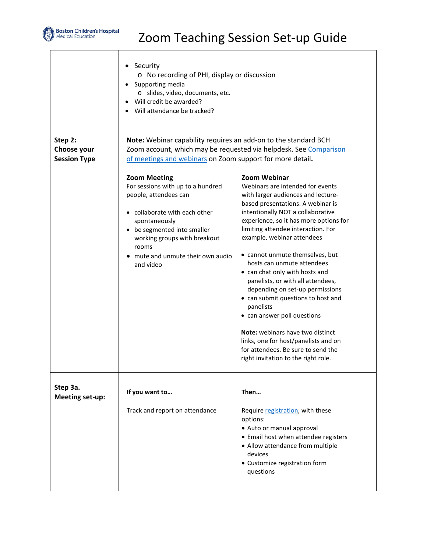

<span id="page-1-1"></span><span id="page-1-0"></span>Г

# Zoom Teaching Session Set-up Guide

| Step 2:                            | • Security<br>o No recording of PHI, display or discussion<br>Supporting media<br>$\bullet$<br>o slides, video, documents, etc.<br>Will credit be awarded?<br>Will attendance be tracked?<br>Note: Webinar capability requires an add-on to the standard BCH |                                                                                                                                                                                                                                                                                                                                                                                                                                                                                                                                                                                                                                                                                                             |
|------------------------------------|--------------------------------------------------------------------------------------------------------------------------------------------------------------------------------------------------------------------------------------------------------------|-------------------------------------------------------------------------------------------------------------------------------------------------------------------------------------------------------------------------------------------------------------------------------------------------------------------------------------------------------------------------------------------------------------------------------------------------------------------------------------------------------------------------------------------------------------------------------------------------------------------------------------------------------------------------------------------------------------|
| Choose your<br><b>Session Type</b> | Zoom account, which may be requested via helpdesk. See Comparison<br>of meetings and webinars on Zoom support for more detail.                                                                                                                               |                                                                                                                                                                                                                                                                                                                                                                                                                                                                                                                                                                                                                                                                                                             |
|                                    | <b>Zoom Meeting</b><br>For sessions with up to a hundred<br>people, attendees can<br>• collaborate with each other<br>spontaneously<br>be segmented into smaller<br>working groups with breakout<br>rooms<br>mute and unmute their own audio<br>and video    | <b>Zoom Webinar</b><br>Webinars are intended for events<br>with larger audiences and lecture-<br>based presentations. A webinar is<br>intentionally NOT a collaborative<br>experience, so it has more options for<br>limiting attendee interaction. For<br>example, webinar attendees<br>• cannot unmute themselves, but<br>hosts can unmute attendees<br>• can chat only with hosts and<br>panelists, or with all attendees,<br>depending on set-up permissions<br>• can submit questions to host and<br>panelists<br>• can answer poll questions<br>Note: webinars have two distinct<br>links, one for host/panelists and on<br>for attendees. Be sure to send the<br>right invitation to the right role. |
| Step 3a.<br>Meeting set-up:        | If you want to                                                                                                                                                                                                                                               | Then                                                                                                                                                                                                                                                                                                                                                                                                                                                                                                                                                                                                                                                                                                        |
|                                    | Track and report on attendance                                                                                                                                                                                                                               | Require registration, with these<br>options:<br>• Auto or manual approval<br>• Email host when attendee registers<br>• Allow attendance from multiple<br>devices<br>• Customize registration form<br>questions                                                                                                                                                                                                                                                                                                                                                                                                                                                                                              |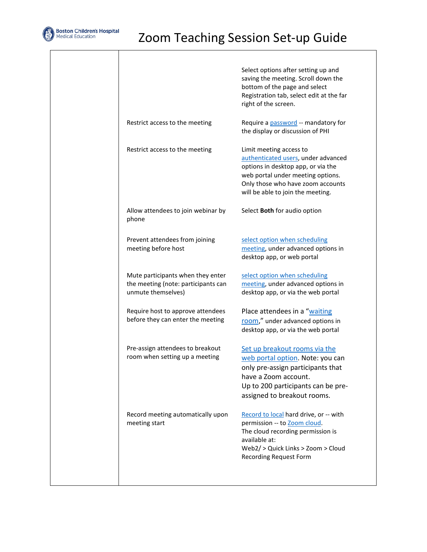

T

|                                                                                                | Select options after setting up and<br>saving the meeting. Scroll down the<br>bottom of the page and select<br>Registration tab, select edit at the far<br>right of the screen.                                     |
|------------------------------------------------------------------------------------------------|---------------------------------------------------------------------------------------------------------------------------------------------------------------------------------------------------------------------|
| Restrict access to the meeting                                                                 | Require a <b>password</b> -- mandatory for<br>the display or discussion of PHI                                                                                                                                      |
| Restrict access to the meeting                                                                 | Limit meeting access to<br>authenticated users, under advanced<br>options in desktop app, or via the<br>web portal under meeting options.<br>Only those who have zoom accounts<br>will be able to join the meeting. |
| Allow attendees to join webinar by<br>phone                                                    | Select Both for audio option                                                                                                                                                                                        |
| Prevent attendees from joining<br>meeting before host                                          | select option when scheduling<br>meeting, under advanced options in<br>desktop app, or web portal                                                                                                                   |
| Mute participants when they enter<br>the meeting (note: participants can<br>unmute themselves) | select option when scheduling<br>meeting, under advanced options in<br>desktop app, or via the web portal                                                                                                           |
| Require host to approve attendees<br>before they can enter the meeting                         | Place attendees in a "waiting<br>room," under advanced options in<br>desktop app, or via the web portal                                                                                                             |
| Pre-assign attendees to breakout<br>room when setting up a meeting                             | Set up breakout rooms via the<br>web portal option. Note: you can<br>only pre-assign participants that<br>have a Zoom account.<br>Up to 200 participants can be pre-<br>assigned to breakout rooms.                 |
| Record meeting automatically upon<br>meeting start                                             | Record to local hard drive, or -- with<br>permission -- to Zoom cloud.<br>The cloud recording permission is<br>available at:<br>Web2/ > Quick Links > Zoom > Cloud<br><b>Recording Request Form</b>                 |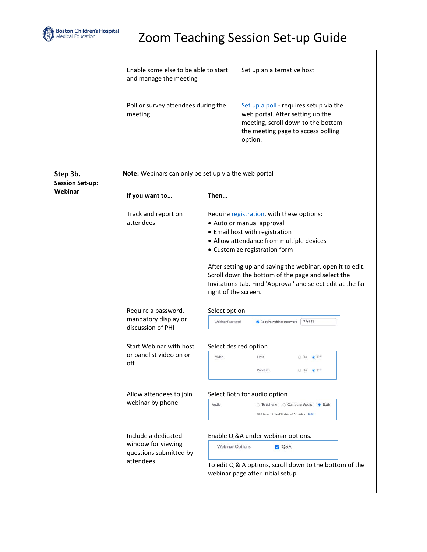

Т

Г

<span id="page-3-0"></span>

|                                    | Enable some else to be able to start<br>and manage the meeting |                        | Set up an alternative host                                                                                                                                                                                                                                                                                                                                             |  |  |
|------------------------------------|----------------------------------------------------------------|------------------------|------------------------------------------------------------------------------------------------------------------------------------------------------------------------------------------------------------------------------------------------------------------------------------------------------------------------------------------------------------------------|--|--|
|                                    | Poll or survey attendees during the<br>meeting                 |                        | Set up a poll - requires setup via the<br>web portal. After setting up the<br>meeting, scroll down to the bottom<br>the meeting page to access polling<br>option.                                                                                                                                                                                                      |  |  |
| Step 3b.<br><b>Session Set-up:</b> | Note: Webinars can only be set up via the web portal           |                        |                                                                                                                                                                                                                                                                                                                                                                        |  |  |
| Webinar                            | If you want to                                                 | Then                   |                                                                                                                                                                                                                                                                                                                                                                        |  |  |
|                                    | Track and report on<br>attendees                               | right of the screen.   | Require registration, with these options:<br>• Auto or manual approval<br>• Email host with registration<br>• Allow attendance from multiple devices<br>• Customize registration form<br>After setting up and saving the webinar, open it to edit.<br>Scroll down the bottom of the page and select the<br>Invitations tab. Find 'Approval' and select edit at the far |  |  |
|                                    | Require a password,                                            | Select option          |                                                                                                                                                                                                                                                                                                                                                                        |  |  |
|                                    | mandatory display or<br>discussion of PHI                      | Webinar Password       | 756851<br>Require webinar password                                                                                                                                                                                                                                                                                                                                     |  |  |
|                                    | Start Webinar with host                                        | Select desired option  |                                                                                                                                                                                                                                                                                                                                                                        |  |  |
|                                    | or panelist video on or<br>off                                 | Video                  | Host<br>O On @ Off                                                                                                                                                                                                                                                                                                                                                     |  |  |
|                                    |                                                                |                        | Panelists<br>O On @ Off                                                                                                                                                                                                                                                                                                                                                |  |  |
|                                    | Allow attendees to join                                        |                        | Select Both for audio option                                                                                                                                                                                                                                                                                                                                           |  |  |
|                                    | webinar by phone                                               | Audio                  | ○ Telephone<br>Computer Audio<br>Both<br>Dial from United States of America Edit                                                                                                                                                                                                                                                                                       |  |  |
|                                    | Include a dedicated                                            |                        | Enable Q &A under webinar options.                                                                                                                                                                                                                                                                                                                                     |  |  |
|                                    | window for viewing<br>questions submitted by                   | <b>Webinar Options</b> | <b>P</b> Q&A                                                                                                                                                                                                                                                                                                                                                           |  |  |
|                                    | attendees                                                      |                        | To edit Q & A options, scroll down to the bottom of the<br>webinar page after initial setup                                                                                                                                                                                                                                                                            |  |  |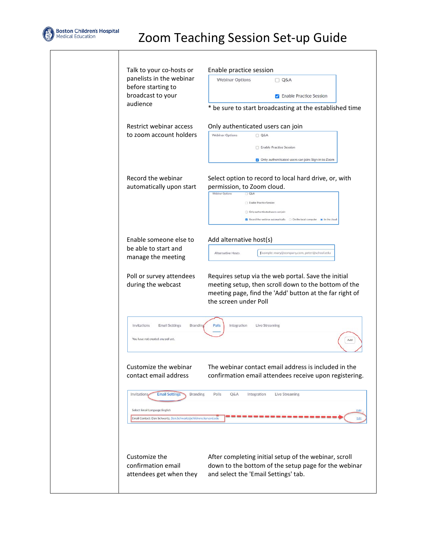

 $\overline{\phantom{a}}$ 

| Talk to your co-hosts or                                                                                                                                     | Enable practice session                                                                                                                                                                                                                                                          |  |  |
|--------------------------------------------------------------------------------------------------------------------------------------------------------------|----------------------------------------------------------------------------------------------------------------------------------------------------------------------------------------------------------------------------------------------------------------------------------|--|--|
| panelists in the webinar                                                                                                                                     | <b>Webinar Options</b>                                                                                                                                                                                                                                                           |  |  |
| before starting to                                                                                                                                           | $Q\&A$                                                                                                                                                                                                                                                                           |  |  |
| broadcast to your                                                                                                                                            | <b>Z</b> Enable Practice Session                                                                                                                                                                                                                                                 |  |  |
| audience                                                                                                                                                     | * be sure to start broadcasting at the established time                                                                                                                                                                                                                          |  |  |
| Restrict webinar access<br>to zoom account holders                                                                                                           | Only authenticated users can join<br><b>Webinar Options</b><br>Q&A<br>Enable Practice Session<br>Only authenticated users can join: Sign in to Zoom                                                                                                                              |  |  |
| Record the webinar<br>automatically upon start                                                                                                               | Select option to record to local hard drive, or, with<br>permission, to Zoom cloud.<br>Webinar Options<br>$\Box$ Q&A<br>Enable Practice Session<br>Only authenticated users can join<br>Record the webinar automatically $\bigcirc$ On the local computer $\bullet$ In the cloud |  |  |
| Enable someone else to                                                                                                                                       | Add alternative host(s)                                                                                                                                                                                                                                                          |  |  |
| be able to start and                                                                                                                                         | Alternative Hosts                                                                                                                                                                                                                                                                |  |  |
| manage the meeting                                                                                                                                           | Example: mary@company.com, peter@school.edu                                                                                                                                                                                                                                      |  |  |
| Poll or survey attendees                                                                                                                                     | Requires setup via the web portal. Save the initial                                                                                                                                                                                                                              |  |  |
| during the webcast                                                                                                                                           | meeting setup, then scroll down to the bottom of the<br>meeting page, find the 'Add' button at the far right of<br>the screen under Poll                                                                                                                                         |  |  |
| Invitations                                                                                                                                                  | Polls                                                                                                                                                                                                                                                                            |  |  |
| <b>Email Settings</b>                                                                                                                                        | Integration                                                                                                                                                                                                                                                                      |  |  |
| Branding                                                                                                                                                     | Live Streaming                                                                                                                                                                                                                                                                   |  |  |
| You have not created any poll yet.                                                                                                                           | Add                                                                                                                                                                                                                                                                              |  |  |
| Customize the webinar                                                                                                                                        | The webinar contact email address is included in the                                                                                                                                                                                                                             |  |  |
| contact email address                                                                                                                                        | confirmation email attendees receive upon registering.                                                                                                                                                                                                                           |  |  |
| <b>Email Settings</b><br>Invitations<br><b>Branding</b><br>Select Email Language: English<br>Email Contact: Dan Schwartz, Dan.Schwartz@childrens.harvard.edu | Polls<br>Q&A<br>Integration<br>Live Streaming<br>Edit<br>Edit                                                                                                                                                                                                                    |  |  |
| Customize the                                                                                                                                                | After completing initial setup of the webinar, scroll                                                                                                                                                                                                                            |  |  |
| confirmation email                                                                                                                                           | down to the bottom of the setup page for the webinar                                                                                                                                                                                                                             |  |  |
| attendees get when they                                                                                                                                      | and select the 'Email Settings' tab.                                                                                                                                                                                                                                             |  |  |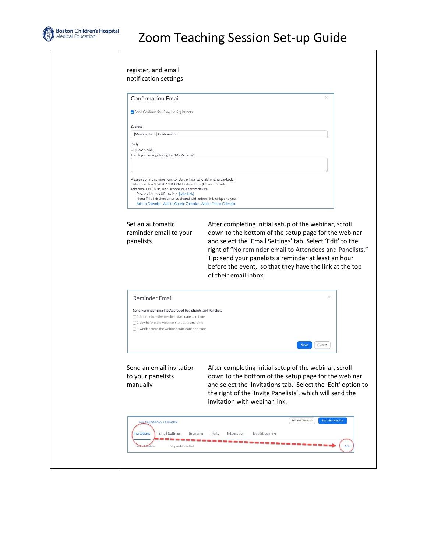

| <b>Confirmation Email</b>                                                                                                                                                                                                                                                                                                                                                          |                                                                                                                                                                                                                                                                                               |
|------------------------------------------------------------------------------------------------------------------------------------------------------------------------------------------------------------------------------------------------------------------------------------------------------------------------------------------------------------------------------------|-----------------------------------------------------------------------------------------------------------------------------------------------------------------------------------------------------------------------------------------------------------------------------------------------|
| Send Confirmation Email to Registrants                                                                                                                                                                                                                                                                                                                                             |                                                                                                                                                                                                                                                                                               |
| Subject                                                                                                                                                                                                                                                                                                                                                                            |                                                                                                                                                                                                                                                                                               |
| [Meeting Topic] Confirmation                                                                                                                                                                                                                                                                                                                                                       |                                                                                                                                                                                                                                                                                               |
| Body<br>Hi [User Name].<br>Thank you for registering for "My Webinar".                                                                                                                                                                                                                                                                                                             |                                                                                                                                                                                                                                                                                               |
| Please submit any questions to: Dan.Schwartz@childrens.harvard.edu<br>Date Time: Jun 3, 2020 11:00 PM Eastern Time (US and Canada)<br>Join from a PC, Mac, iPad, iPhone or Android device:<br>Please click this URL to join. [Join Link]<br>Note: This link should not be shared with others; it is unique to you.<br>Add to Calendar Add to Google Calendar Add to Yahoo Calendar |                                                                                                                                                                                                                                                                                               |
| Set an automatic<br>reminder email to your                                                                                                                                                                                                                                                                                                                                         | After completing initial setup of the webinar, scroll<br>down to the bottom of the setup page for the webinar                                                                                                                                                                                 |
| panelists                                                                                                                                                                                                                                                                                                                                                                          | and select the 'Email Settings' tab. Select 'Edit' to the<br>right of "No reminder email to Attendees and Panelists."<br>Tip: send your panelists a reminder at least an hour<br>before the event, so that they have the link at the top<br>of their email inbox.                             |
| Reminder Email                                                                                                                                                                                                                                                                                                                                                                     |                                                                                                                                                                                                                                                                                               |
| Send Reminder Email to Approved Registrants and Panelists<br>$\Box$ 1 hour before the webinar start date and time<br>$\Box$ 1 day before the webinar start date and time<br>$\Box$ 1 week before the webinar start date and time                                                                                                                                                   |                                                                                                                                                                                                                                                                                               |
| Send an email invitation<br>to your panelists<br>manually                                                                                                                                                                                                                                                                                                                          | Save<br>Cancel<br>After completing initial setup of the webinar, scroll<br>down to the bottom of the setup page for the webinar<br>and select the 'Invitations tab.' Select the 'Edit' option to<br>the right of the 'Invite Panelists', which will send the<br>invitation with webinar link. |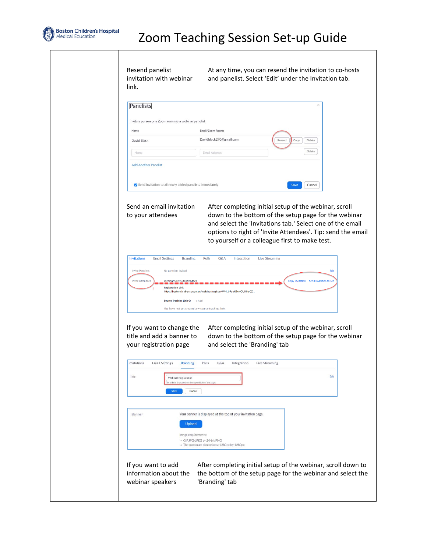

Resend panelist invitation with webinar link.

At any time, you can resend the invitation to co-hosts and panelist. Select 'Edit' under the Invitation tab.

| Name        | Email/Zoom Rooms        |                          |
|-------------|-------------------------|--------------------------|
| David Black | Davidblack270@gmail.com | Resend<br>Copy<br>Delete |
| Name        | <b>Email Address</b>    | Delete                   |

#### Send an email invitation to your attendees

After completing initial setup of the webinar, scroll down to the bottom of the setup page for the webinar and select the 'Invitations tab.' Select one of the email options to right of 'Invite Attendees'. Tip: send the email to yourself or a colleague first to make test.

| <b>Invitations</b>      | <b>Email Settings</b>    | <b>Branding</b>                                    | Polls | Q&A | Integration                                                         | <b>Live Streaming</b> |                 |                       |
|-------------------------|--------------------------|----------------------------------------------------|-------|-----|---------------------------------------------------------------------|-----------------------|-----------------|-----------------------|
| <b>Invite Panelists</b> | No panelists invited     |                                                    |       |     |                                                                     |                       |                 | Edit                  |
| <b>Invite Attendees</b> | <b>Registration Link</b> | Webinar Size: 500 attendees                        |       |     | https://bostonchildrens.zoom.us/webinar/register/WN_b9qokBxwQUKHeCZ |                       | Copy Invitation | Send Invitation to Me |
|                         | Source Tracking Link @   | $+Add$                                             |       |     |                                                                     |                       |                 |                       |
|                         |                          | You have not yet created any source tracking links |       |     |                                                                     |                       |                 |                       |

If you want to change the title and add a banner to your registration page

After completing initial setup of the webinar, scroll down to the bottom of the setup page for the webinar and select the 'Branding' tab

|        | The title is displayed on the top middle of the page. |                                                              | Edit |
|--------|-------------------------------------------------------|--------------------------------------------------------------|------|
|        | Cancel<br><b>Save</b>                                 |                                                              |      |
|        |                                                       |                                                              |      |
| Banner |                                                       | Your banner is displayed at the top of your invitation page. |      |
|        | <b>Upload</b>                                         |                                                              |      |
|        | Image requirements:                                   |                                                              |      |
|        | · GIFJPG/JPEG or 24-bit PNG                           | · The maximum dimensions: 1280px by 1280px                   |      |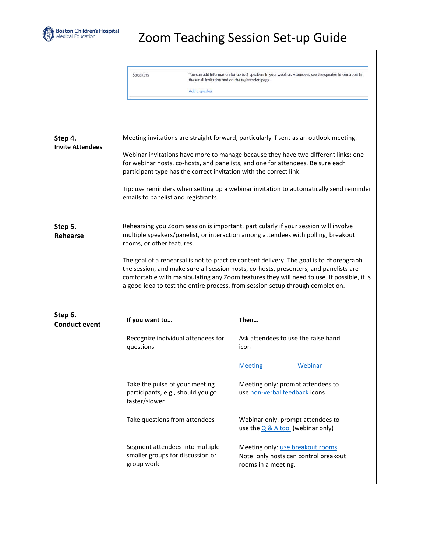

т

Г

# Zoom Teaching Session Set-up Guide

٦

<span id="page-7-2"></span><span id="page-7-1"></span><span id="page-7-0"></span>

|                                    | Speakers<br>the email invitation and on the registration page.                                                                                                                                        | You can add information for up to 3 speakers in your webinar. Attendees see the speaker information in                                                                                                                                                                                                                                                          |  |  |  |
|------------------------------------|-------------------------------------------------------------------------------------------------------------------------------------------------------------------------------------------------------|-----------------------------------------------------------------------------------------------------------------------------------------------------------------------------------------------------------------------------------------------------------------------------------------------------------------------------------------------------------------|--|--|--|
|                                    | Add a speaker                                                                                                                                                                                         |                                                                                                                                                                                                                                                                                                                                                                 |  |  |  |
|                                    |                                                                                                                                                                                                       |                                                                                                                                                                                                                                                                                                                                                                 |  |  |  |
| Step 4.<br><b>Invite Attendees</b> |                                                                                                                                                                                                       | Meeting invitations are straight forward, particularly if sent as an outlook meeting.                                                                                                                                                                                                                                                                           |  |  |  |
|                                    | participant type has the correct invitation with the correct link.                                                                                                                                    | Webinar invitations have more to manage because they have two different links: one<br>for webinar hosts, co-hosts, and panelists, and one for attendees. Be sure each                                                                                                                                                                                           |  |  |  |
|                                    | emails to panelist and registrants.                                                                                                                                                                   | Tip: use reminders when setting up a webinar invitation to automatically send reminder                                                                                                                                                                                                                                                                          |  |  |  |
| Step 5.<br><b>Rehearse</b>         | Rehearsing you Zoom session is important, particularly if your session will involve<br>multiple speakers/panelist, or interaction among attendees with polling, breakout<br>rooms, or other features. |                                                                                                                                                                                                                                                                                                                                                                 |  |  |  |
|                                    |                                                                                                                                                                                                       | The goal of a rehearsal is not to practice content delivery. The goal is to choreograph<br>the session, and make sure all session hosts, co-hosts, presenters, and panelists are<br>comfortable with manipulating any Zoom features they will need to use. If possible, it is<br>a good idea to test the entire process, from session setup through completion. |  |  |  |
| Step 6.<br><b>Conduct event</b>    | If you want to                                                                                                                                                                                        | Then                                                                                                                                                                                                                                                                                                                                                            |  |  |  |
|                                    | Recognize individual attendees for<br>questions                                                                                                                                                       | Ask attendees to use the raise hand<br>icon                                                                                                                                                                                                                                                                                                                     |  |  |  |
|                                    |                                                                                                                                                                                                       | <b>Webinar</b><br><b>Meeting</b>                                                                                                                                                                                                                                                                                                                                |  |  |  |
|                                    | Take the pulse of your meeting<br>participants, e.g., should you go<br>faster/slower                                                                                                                  | Meeting only: prompt attendees to<br>use non-verbal feedback icons                                                                                                                                                                                                                                                                                              |  |  |  |
|                                    | Take questions from attendees                                                                                                                                                                         | Webinar only: prompt attendees to<br>use the $Q & A$ tool (webinar only)                                                                                                                                                                                                                                                                                        |  |  |  |
|                                    | Segment attendees into multiple<br>smaller groups for discussion or<br>group work                                                                                                                     | Meeting only: <u>use breakout rooms</u> .<br>Note: only hosts can control breakout<br>rooms in a meeting.                                                                                                                                                                                                                                                       |  |  |  |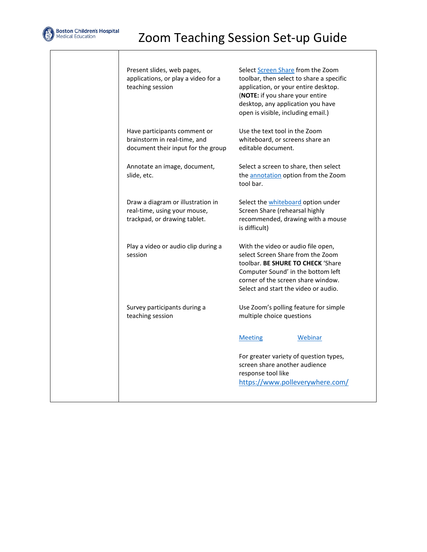

Present slides, web pages, applications, or play a video for a teaching session Selec[t Screen Share](https://support.zoom.us/hc/en-us/articles/201362153-Sharing-your-screen-in-a-meeting) from the Zoom toolbar, then select to share a specific application, or your entire desktop. (**NOTE:** if you share your entire desktop, any application you have open is visible, including email.) Have participants comment or brainstorm in real-time, and document their input for the group Use the text tool in the Zoom whiteboard, or screens share an editable document. Annotate an image, document, slide, etc. Select a screen to share, then select th[e annotation](https://support.zoom.us/hc/en-us/articles/115005706806-Using-annotation-tools-on-a-shared-screen-or-whiteboard) option from the Zoom tool bar. Draw a diagram or illustration in real-time, using your mouse, trackpad, or drawing tablet. Select th[e whiteboard](https://support.zoom.us/hc/en-us/articles/205677665-Sharing-a-whiteboard) option under Screen Share (rehearsal highly recommended, drawing with a mouse is difficult) Play a video or audio clip during a session With the video or audio file open, select Screen Share from the Zoom toolbar. **BE SHURE TO CHECK** 'Share Computer Sound' in the bottom left corner of the screen share window. Select and start the video or audio. Survey participants during a teaching session Use Zoom's polling feature for simple multiple choice questions [Meeting](https://support.zoom.us/hc/en-us/articles/213756303-Polling-for-meetings#h_bdab5a42-600b-4ee0-8f3c-76a87b3f8ef3) [Webinar](https://support.zoom.us/hc/en-us/articles/203749865#h_48eeaaad-5f4e-45ed-8a62-3c86c824e9e2) For greater variety of question types, screen share another audience response tool like <https://www.polleverywhere.com/>